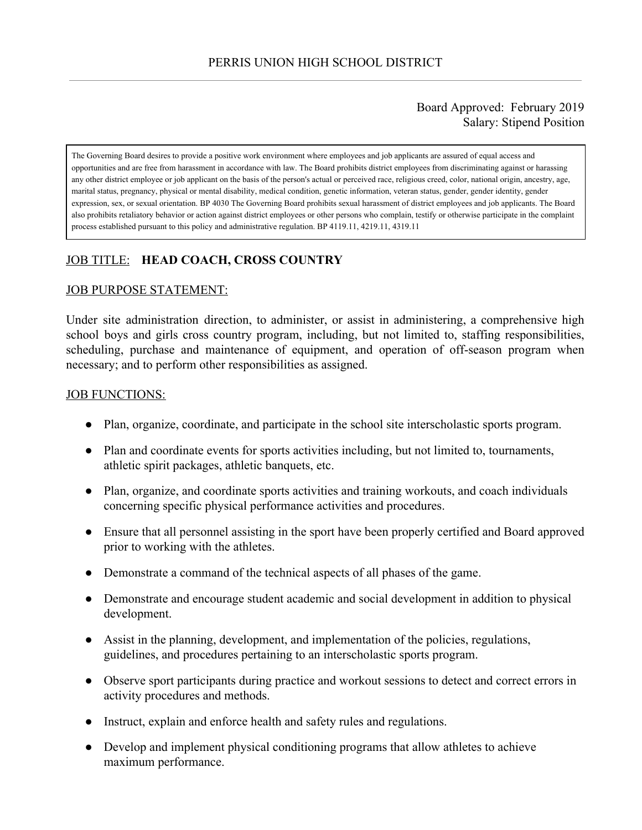### Board Approved: February 2019 Salary: Stipend Position

The Governing Board desires to provide a positive work environment where employees and job applicants are assured of equal access and opportunities and are free from harassment in accordance with law. The Board prohibits district employees from discriminating against or harassing any other district employee or job applicant on the basis of the person's actual or perceived race, religious creed, color, national origin, ancestry, age, marital status, pregnancy, physical or mental disability, medical condition, genetic information, veteran status, gender, gender identity, gender expression, sex, or sexual orientation. BP 4030 The Governing Board prohibits sexual harassment of district employees and job applicants. The Board also prohibits retaliatory behavior or action against district employees or other persons who complain, testify or otherwise participate in the complaint process established pursuant to this policy and administrative regulation. BP 4119.11, 4219.11, 4319.11

# JOB TITLE: **HEAD COACH, CROSS COUNTRY**

#### JOB PURPOSE STATEMENT:

Under site administration direction, to administer, or assist in administering, a comprehensive high school boys and girls cross country program, including, but not limited to, staffing responsibilities, scheduling, purchase and maintenance of equipment, and operation of off-season program when necessary; and to perform other responsibilities as assigned.

#### JOB FUNCTIONS:

- Plan, organize, coordinate, and participate in the school site interscholastic sports program.
- Plan and coordinate events for sports activities including, but not limited to, tournaments, athletic spirit packages, athletic banquets, etc.
- Plan, organize, and coordinate sports activities and training workouts, and coach individuals concerning specific physical performance activities and procedures.
- Ensure that all personnel assisting in the sport have been properly certified and Board approved prior to working with the athletes.
- Demonstrate a command of the technical aspects of all phases of the game.
- Demonstrate and encourage student academic and social development in addition to physical development.
- Assist in the planning, development, and implementation of the policies, regulations, guidelines, and procedures pertaining to an interscholastic sports program.
- Observe sport participants during practice and workout sessions to detect and correct errors in activity procedures and methods.
- Instruct, explain and enforce health and safety rules and regulations.
- Develop and implement physical conditioning programs that allow athletes to achieve maximum performance.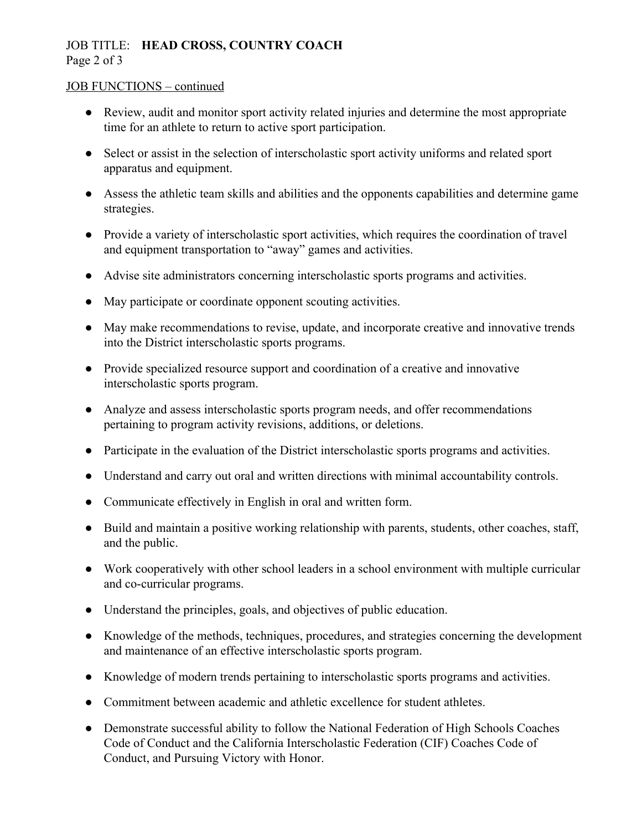### JOB TITLE: **HEAD CROSS, COUNTRY COACH** Page 2 of 3

### JOB FUNCTIONS – continued

- Review, audit and monitor sport activity related injuries and determine the most appropriate time for an athlete to return to active sport participation.
- Select or assist in the selection of interscholastic sport activity uniforms and related sport apparatus and equipment.
- Assess the athletic team skills and abilities and the opponents capabilities and determine game strategies.
- Provide a variety of interscholastic sport activities, which requires the coordination of travel and equipment transportation to "away" games and activities.
- Advise site administrators concerning interscholastic sports programs and activities.
- May participate or coordinate opponent scouting activities.
- May make recommendations to revise, update, and incorporate creative and innovative trends into the District interscholastic sports programs.
- Provide specialized resource support and coordination of a creative and innovative interscholastic sports program.
- Analyze and assess interscholastic sports program needs, and offer recommendations pertaining to program activity revisions, additions, or deletions.
- Participate in the evaluation of the District interscholastic sports programs and activities.
- Understand and carry out oral and written directions with minimal accountability controls.
- Communicate effectively in English in oral and written form.
- Build and maintain a positive working relationship with parents, students, other coaches, staff, and the public.
- Work cooperatively with other school leaders in a school environment with multiple curricular and co-curricular programs.
- Understand the principles, goals, and objectives of public education.
- Knowledge of the methods, techniques, procedures, and strategies concerning the development and maintenance of an effective interscholastic sports program.
- Knowledge of modern trends pertaining to interscholastic sports programs and activities.
- Commitment between academic and athletic excellence for student athletes.
- Demonstrate successful ability to follow the National Federation of High Schools Coaches Code of Conduct and the California Interscholastic Federation (CIF) Coaches Code of Conduct, and Pursuing Victory with Honor.